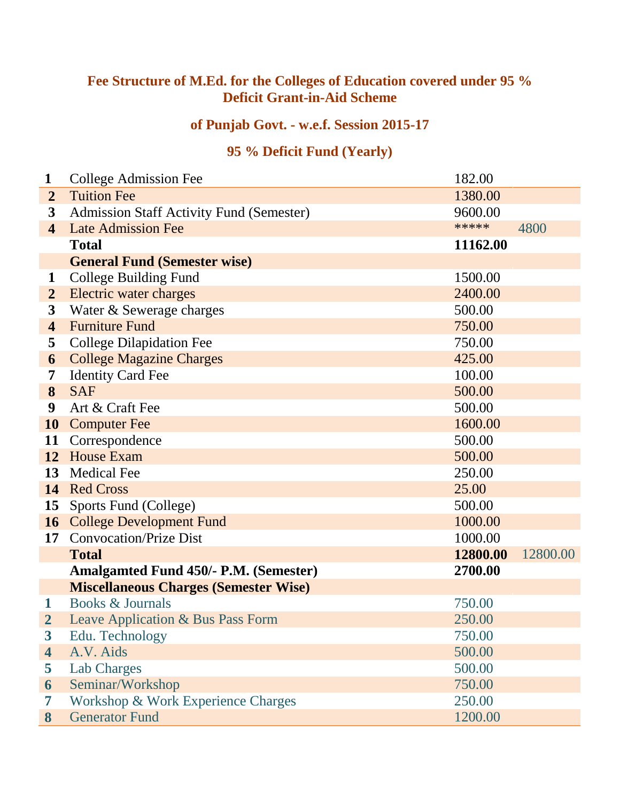## **Fee Structure of M.Ed. for the Colleges of Education covered under 95 % Deficit Grant-in-Aid Scheme**

## **of Punjab Govt. - w.e.f. Session 2015-17**

## **95 % Deficit Fund (Yearly)**

| 1                       | <b>College Admission Fee</b>                    | 182.00   |          |
|-------------------------|-------------------------------------------------|----------|----------|
| $\overline{2}$          | <b>Tuition Fee</b>                              | 1380.00  |          |
| 3                       | <b>Admission Staff Activity Fund (Semester)</b> | 9600.00  |          |
| $\overline{4}$          | <b>Late Admission Fee</b>                       | *****    | 4800     |
|                         | <b>Total</b>                                    | 11162.00 |          |
|                         | <b>General Fund (Semester wise)</b>             |          |          |
| 1                       | College Building Fund                           | 1500.00  |          |
| $\overline{2}$          | Electric water charges                          | 2400.00  |          |
| 3                       | Water & Sewerage charges                        | 500.00   |          |
| $\overline{\mathbf{4}}$ | <b>Furniture Fund</b>                           | 750.00   |          |
| 5                       | <b>College Dilapidation Fee</b>                 | 750.00   |          |
| 6                       | <b>College Magazine Charges</b>                 | 425.00   |          |
| 7                       | <b>Identity Card Fee</b>                        | 100.00   |          |
| 8                       | <b>SAF</b>                                      | 500.00   |          |
| 9                       | Art & Craft Fee                                 | 500.00   |          |
| 10                      | <b>Computer Fee</b>                             | 1600.00  |          |
| 11                      | Correspondence                                  | 500.00   |          |
| 12                      | <b>House Exam</b>                               | 500.00   |          |
| 13                      | <b>Medical Fee</b>                              | 250.00   |          |
| 14                      | <b>Red Cross</b>                                | 25.00    |          |
| 15                      | Sports Fund (College)                           | 500.00   |          |
|                         | <b>16</b> College Development Fund              | 1000.00  |          |
| 17                      | <b>Convocation/Prize Dist</b>                   | 1000.00  |          |
|                         | <b>Total</b>                                    | 12800.00 | 12800.00 |
|                         | <b>Amalgamted Fund 450/- P.M. (Semester)</b>    | 2700.00  |          |
|                         | <b>Miscellaneous Charges (Semester Wise)</b>    |          |          |
| 1                       | Books & Journals                                | 750.00   |          |
| $\overline{\mathbf{2}}$ | Leave Application & Bus Pass Form               | 250.00   |          |
| $\boldsymbol{3}$        | Edu. Technology                                 | 750.00   |          |
| $\overline{\mathbf{4}}$ | A.V. Aids                                       | 500.00   |          |
| 5                       | Lab Charges                                     | 500.00   |          |
| 6                       | Seminar/Workshop                                | 750.00   |          |
| 7                       | Workshop & Work Experience Charges              | 250.00   |          |
| 8                       | <b>Generator Fund</b>                           | 1200.00  |          |